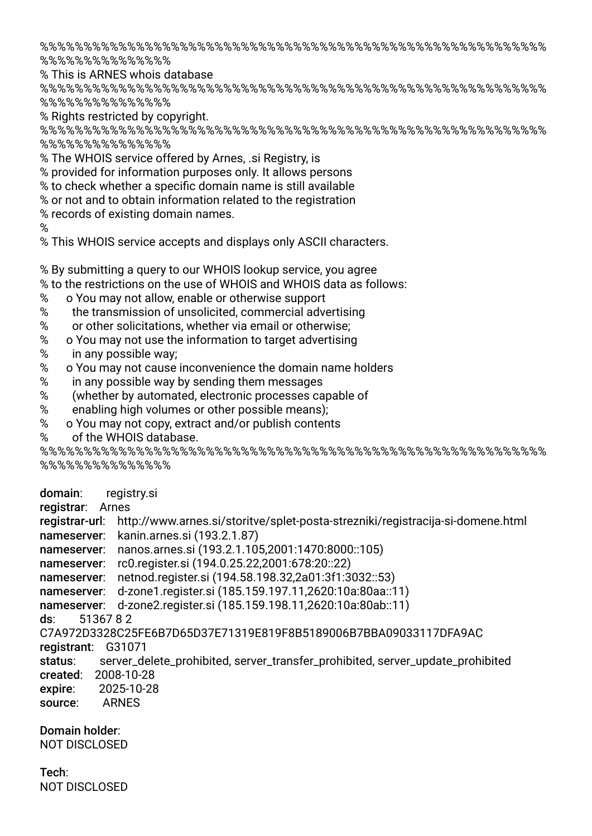%%%%%%%%%%%%%%%%%%%%%%%%%%%%%%%%%%%%%%%%%%%%%%%%%%%%%%%%%% %%%%%%%%%%%%%%%

% This is ARNES whois database

%%%%%%%%%%%%%%%%%%%%%%%%%%%%%%%%%%%%%%%%%%%%%%%%%%%%%%%%%% %%%%%%%%%%%%%%%

% Rights restricted by copyright.

%%%%%%%%%%%%%%%%%%%%%%%%%%%%%%%%%%%%%%%%%%%%%%%%%%%%%%%%%% %%%%%%%%%%%%%%%

% The WHOIS service offered by Arnes, .si Registry, is

% provided for information purposes only. It allows persons

% to check whether a specifc domain name is still available

% or not and to obtain information related to the registration

% records of existing domain names.

%

% This WHOIS service accepts and displays only ASCII characters.

% By submitting a query to our WHOIS lookup service, you agree

% to the restrictions on the use of WHOIS and WHOIS data as follows:

- % o You may not allow, enable or otherwise support
- 
- % the transmission of unsolicited, commercial advertising<br>% or other solicitations, whether via email or otherwise: or other solicitations, whether via email or otherwise:
- % o You may not use the information to target advertising
- % in any possible way;
- % o You may not cause inconvenience the domain name holders
- % in any possible way by sending them messages
- % (whether by automated, electronic processes capable of
- % enabling high volumes or other possible means);
- % o You may not copy, extract and/or publish contents
- % of the WHOIS database.

%%%%%%%%%%%%%%%%%%%%%%%%%%%%%%%%%%%%%%%%%%%%%%%%%%%%%%%%%% %%%%%%%%%%%%%%%

domain: registry.si

registrar: Arnes

registrar-url: http://www.arnes.si/storitve/splet-posta-strezniki/registracija-si-domene.html nameserver: kanin.arnes.si (193.2.1.87)

nameserver: nanos.arnes.si (193.2.1.105,2001:1470:8000::105)

nameserver: rc0.register.si (194.0.25.22,2001:678:20::22)

nameserver: netnod.register.si (194.58.198.32,2a01:3f1:3032::53)

nameserver: d-zone1.register.si (185.159.197.11,2620:10a:80aa::11)

nameserver: d-zone2.register.si (185.159.198.11,2620:10a:80ab::11)

ds: 51367 8 2

C7A972D3328C25FE6B7D65D37E71319E819F8B5189006B7BBA09033117DFA9AC

- registrant: G31071
- status: server\_delete\_prohibited, server\_transfer\_prohibited, server\_update\_prohibited created: 2008-10-28
- expire: 2025-10-28
- source: ARNES

Domain holder:

NOT DISCLOSED

## Tech: NOT DISCLOSED